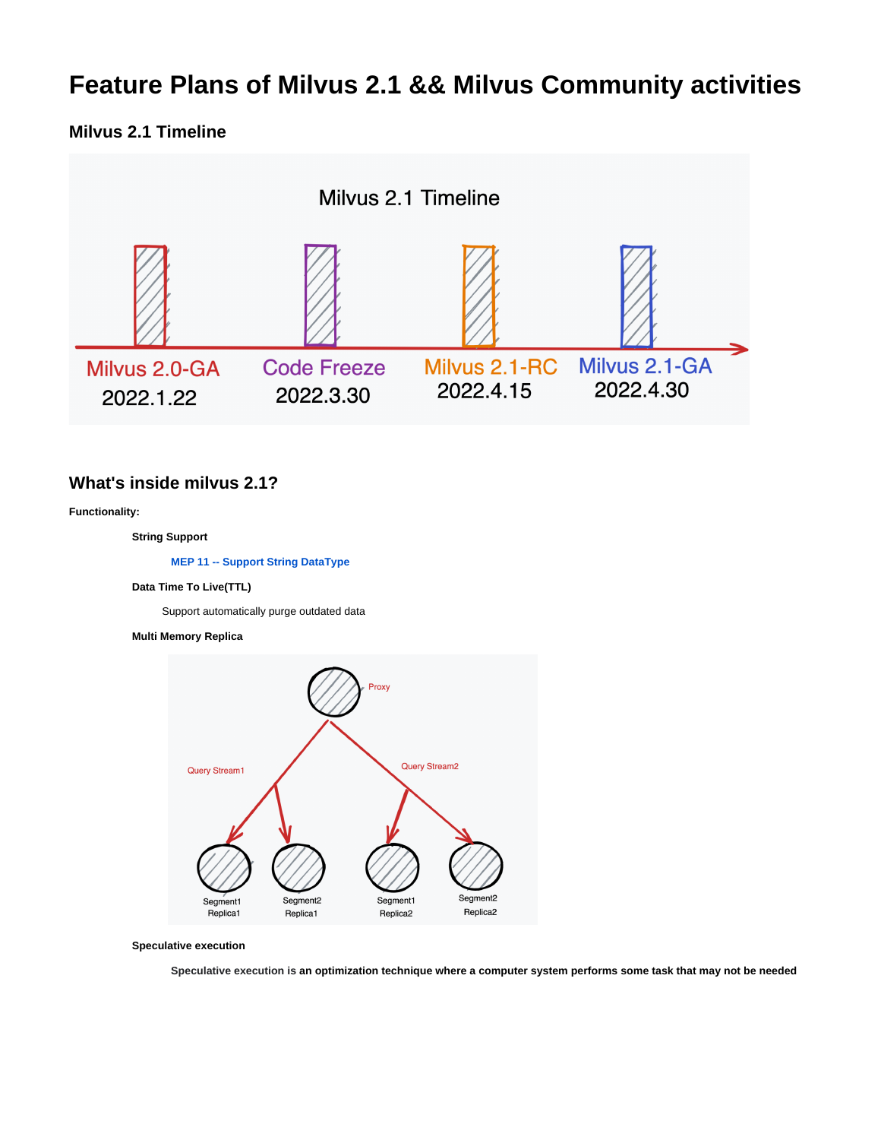# **Feature Plans of Milvus 2.1 && Milvus Community activities**

## **Milvus 2.1 Timeline**



### **What's inside milvus 2.1?**

#### **Functionality:**

 **String Support**

 **[MEP 11 -- Support String DataType](https://wiki.lfaidata.foundation/display/MIL/MEP+11+--+Support+String+DataType)**

#### **Data Time To Live(TTL)**

Support automatically purge outdated data

#### **Multi Memory Replica**



#### **Speculative execution**

 **Speculative execution is an optimization technique where a computer system performs some task that may not be needed**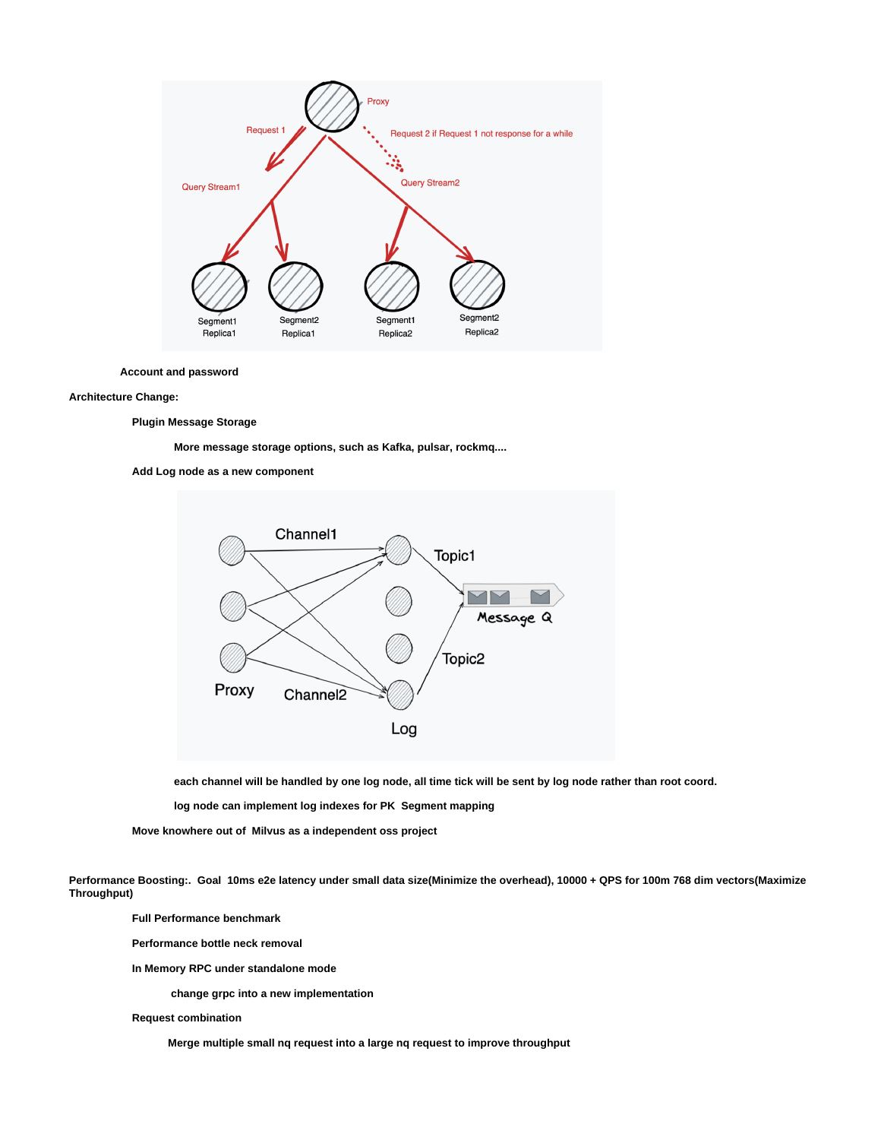

**Account and password**

#### **Architecture Change:**

 **Plugin Message Storage**

 **More message storage options, such as Kafka, pulsar, rockmq....**





 **each channel will be handled by one log node, all time tick will be sent by log node rather than root coord.**

 **log node can implement log indexes for PK Segment mapping**

 **Move knowhere out of Milvus as a independent oss project** 

**Performance Boosting:. Goal 10ms e2e latency under small data size(Minimize the overhead), 10000 + QPS for 100m 768 dim vectors(Maximize Throughput)**

 **Full Performance benchmark** 

 **Performance bottle neck removal**

 **In Memory RPC under standalone mode**

 **change grpc into a new implementation**

 **Request combination** 

 **Merge multiple small nq request into a large nq request to improve throughput**